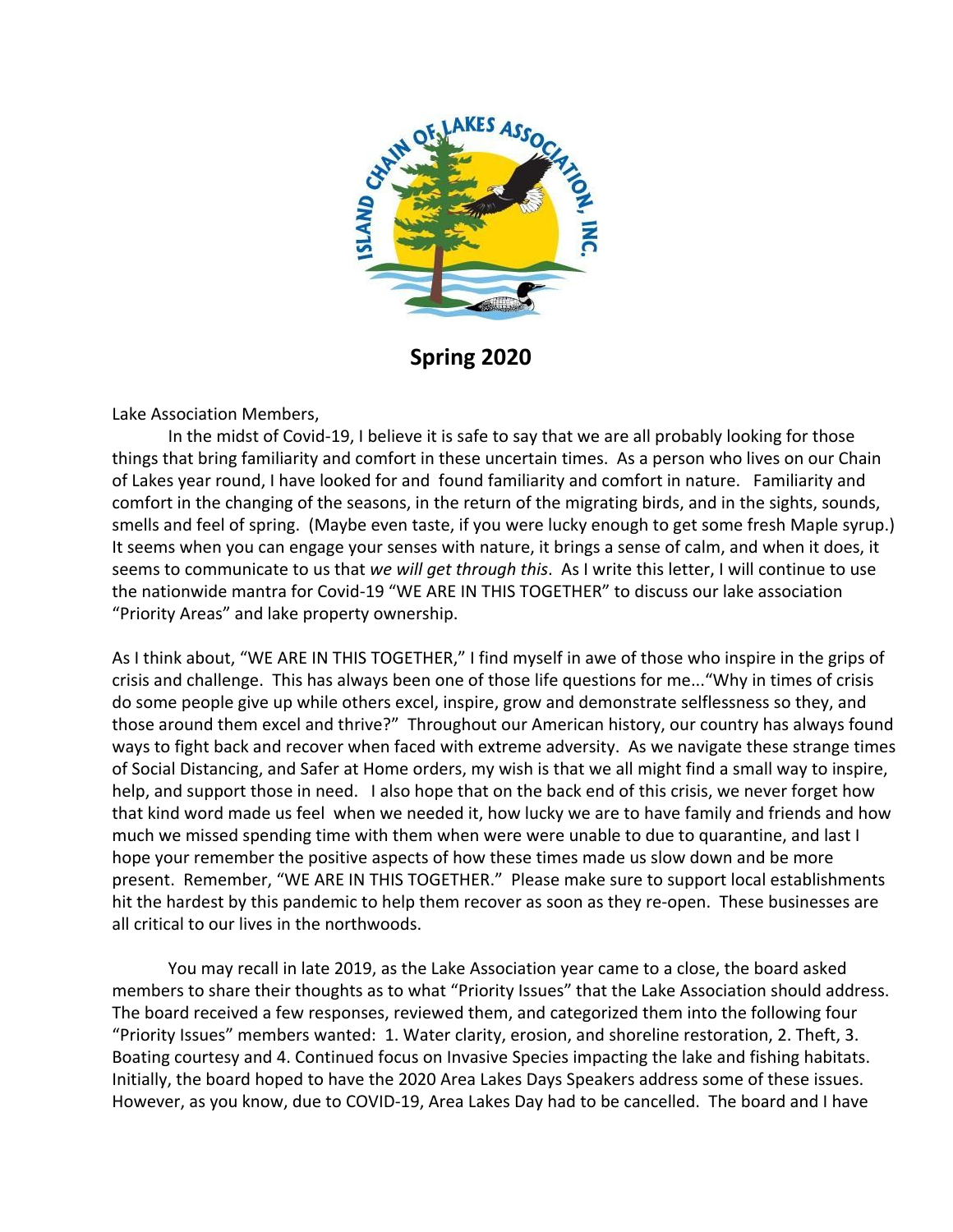

**Spring 2020**

Lake Association Members,

In the midst of Covid-19, I believe it is safe to say that we are all probably looking for those things that bring familiarity and comfort in these uncertain times. As a person who lives on our Chain of Lakes year round, I have looked for and found familiarity and comfort in nature. Familiarity and comfort in the changing of the seasons, in the return of the migrating birds, and in the sights, sounds, smells and feel of spring. (Maybe even taste, if you were lucky enough to get some fresh Maple syrup.) It seems when you can engage your senses with nature, it brings a sense of calm, and when it does, it seems to communicate to us that *we will get through this*. As I write this letter, I will continue to use the nationwide mantra for Covid-19 "WE ARE IN THIS TOGETHER" to discuss our lake association "Priority Areas" and lake property ownership.

As I think about, "WE ARE IN THIS TOGETHER," I find myself in awe of those who inspire in the grips of crisis and challenge. This has always been one of those life questions for me..."Why in times of crisis do some people give up while others excel, inspire, grow and demonstrate selflessness so they, and those around them excel and thrive?" Throughout our American history, our country has always found ways to fight back and recover when faced with extreme adversity. As we navigate these strange times of Social Distancing, and Safer at Home orders, my wish is that we all might find a small way to inspire, help, and support those in need. I also hope that on the back end of this crisis, we never forget how that kind word made us feel when we needed it, how lucky we are to have family and friends and how much we missed spending time with them when were were unable to due to quarantine, and last I hope your remember the positive aspects of how these times made us slow down and be more present. Remember, "WE ARE IN THIS TOGETHER." Please make sure to support local establishments hit the hardest by this pandemic to help them recover as soon as they re-open. These businesses are all critical to our lives in the northwoods.

You may recall in late 2019, as the Lake Association year came to a close, the board asked members to share their thoughts as to what "Priority Issues" that the Lake Association should address. The board received a few responses, reviewed them, and categorized them into the following four "Priority Issues" members wanted: 1. Water clarity, erosion, and shoreline restoration, 2. Theft, 3. Boating courtesy and 4. Continued focus on Invasive Species impacting the lake and fishing habitats. Initially, the board hoped to have the 2020 Area Lakes Days Speakers address some of these issues. However, as you know, due to COVID-19, Area Lakes Day had to be cancelled. The board and I have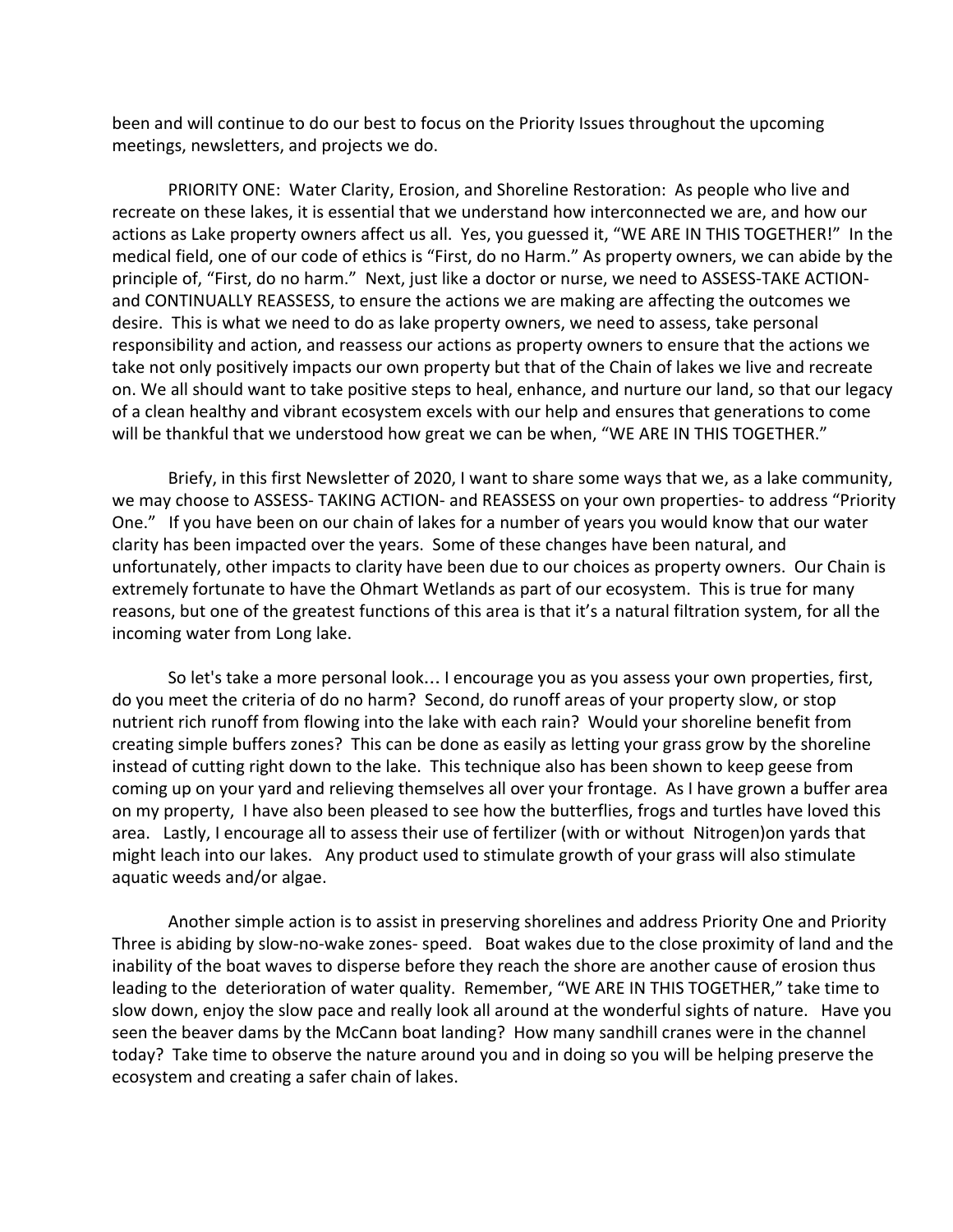been and will continue to do our best to focus on the Priority Issues throughout the upcoming meetings, newsletters, and projects we do.

PRIORITY ONE: Water Clarity, Erosion, and Shoreline Restoration: As people who live and recreate on these lakes, it is essential that we understand how interconnected we are, and how our actions as Lake property owners affect us all. Yes, you guessed it, "WE ARE IN THIS TOGETHER!" In the medical field, one of our code of ethics is "First, do no Harm." As property owners, we can abide by the principle of, "First, do no harm." Next, just like a doctor or nurse, we need to ASSESS-TAKE ACTIONand CONTINUALLY REASSESS, to ensure the actions we are making are affecting the outcomes we desire. This is what we need to do as lake property owners, we need to assess, take personal responsibility and action, and reassess our actions as property owners to ensure that the actions we take not only positively impacts our own property but that of the Chain of lakes we live and recreate on. We all should want to take positive steps to heal, enhance, and nurture our land, so that our legacy of a clean healthy and vibrant ecosystem excels with our help and ensures that generations to come will be thankful that we understood how great we can be when, "WE ARE IN THIS TOGETHER."

Briefy, in this first Newsletter of 2020, I want to share some ways that we, as a lake community, we may choose to ASSESS- TAKING ACTION- and REASSESS on your own properties- to address "Priority One." If you have been on our chain of lakes for a number of years you would know that our water clarity has been impacted over the years. Some of these changes have been natural, and unfortunately, other impacts to clarity have been due to our choices as property owners. Our Chain is extremely fortunate to have the Ohmart Wetlands as part of our ecosystem. This is true for many reasons, but one of the greatest functions of this area is that it's a natural filtration system, for all the incoming water from Long lake.

So let's take a more personal look… I encourage you as you assess your own properties, first, do you meet the criteria of do no harm? Second, do runoff areas of your property slow, or stop nutrient rich runoff from flowing into the lake with each rain? Would your shoreline benefit from creating simple buffers zones? This can be done as easily as letting your grass grow by the shoreline instead of cutting right down to the lake. This technique also has been shown to keep geese from coming up on your yard and relieving themselves all over your frontage. As I have grown a buffer area on my property, I have also been pleased to see how the butterflies, frogs and turtles have loved this area. Lastly, I encourage all to assess their use of fertilizer (with or without Nitrogen)on yards that might leach into our lakes. Any product used to stimulate growth of your grass will also stimulate aquatic weeds and/or algae.

Another simple action is to assist in preserving shorelines and address Priority One and Priority Three is abiding by slow-no-wake zones- speed. Boat wakes due to the close proximity of land and the inability of the boat waves to disperse before they reach the shore are another cause of erosion thus leading to the deterioration of water quality. Remember, "WE ARE IN THIS TOGETHER," take time to slow down, enjoy the slow pace and really look all around at the wonderful sights of nature. Have you seen the beaver dams by the McCann boat landing? How many sandhill cranes were in the channel today? Take time to observe the nature around you and in doing so you will be helping preserve the ecosystem and creating a safer chain of lakes.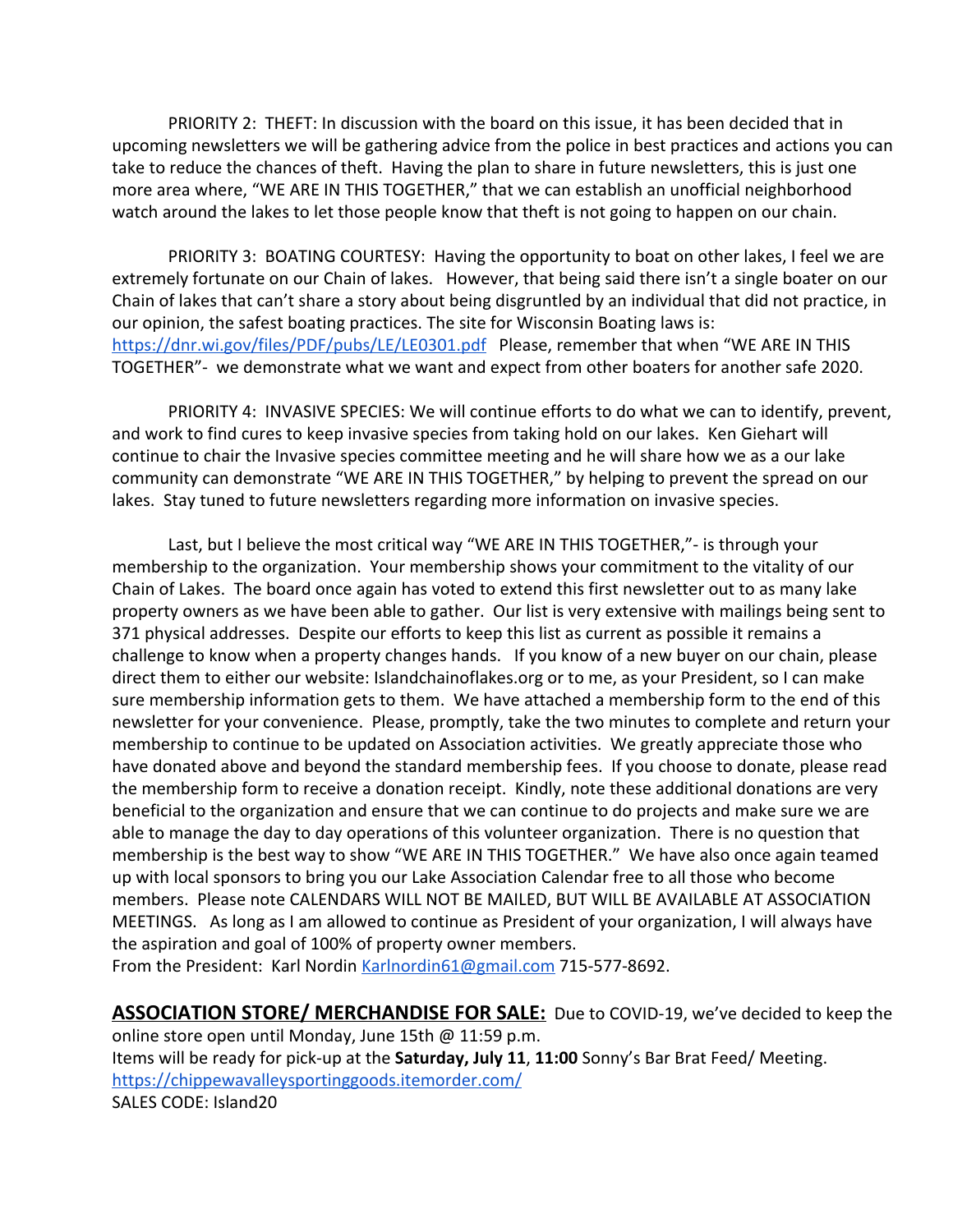PRIORITY 2: THEFT: In discussion with the board on this issue, it has been decided that in upcoming newsletters we will be gathering advice from the police in best practices and actions you can take to reduce the chances of theft. Having the plan to share in future newsletters, this is just one more area where, "WE ARE IN THIS TOGETHER," that we can establish an unofficial neighborhood watch around the lakes to let those people know that theft is not going to happen on our chain.

PRIORITY 3: BOATING COURTESY: Having the opportunity to boat on other lakes, I feel we are extremely fortunate on our Chain of lakes. However, that being said there isn't a single boater on our Chain of lakes that can't share a story about being disgruntled by an individual that did not practice, in our opinion, the safest boating practices. The site for Wisconsin Boating laws is: <https://dnr.wi.gov/files/PDF/pubs/LE/LE0301.pdf>Please, remember that when "WE ARE IN THIS TOGETHER"- we demonstrate what we want and expect from other boaters for another safe 2020.

PRIORITY 4: INVASIVE SPECIES: We will continue efforts to do what we can to identify, prevent, and work to find cures to keep invasive species from taking hold on our lakes. Ken Giehart will continue to chair the Invasive species committee meeting and he will share how we as a our lake community can demonstrate "WE ARE IN THIS TOGETHER," by helping to prevent the spread on our lakes. Stay tuned to future newsletters regarding more information on invasive species.

Last, but I believe the most critical way "WE ARE IN THIS TOGETHER,"- is through your membership to the organization. Your membership shows your commitment to the vitality of our Chain of Lakes. The board once again has voted to extend this first newsletter out to as many lake property owners as we have been able to gather. Our list is very extensive with mailings being sent to 371 physical addresses. Despite our efforts to keep this list as current as possible it remains a challenge to know when a property changes hands. If you know of a new buyer on our chain, please direct them to either our website: Islandchainoflakes.org or to me, as your President, so I can make sure membership information gets to them. We have attached a membership form to the end of this newsletter for your convenience. Please, promptly, take the two minutes to complete and return your membership to continue to be updated on Association activities. We greatly appreciate those who have donated above and beyond the standard membership fees. If you choose to donate, please read the membership form to receive a donation receipt. Kindly, note these additional donations are very beneficial to the organization and ensure that we can continue to do projects and make sure we are able to manage the day to day operations of this volunteer organization. There is no question that membership is the best way to show "WE ARE IN THIS TOGETHER." We have also once again teamed up with local sponsors to bring you our Lake Association Calendar free to all those who become members. Please note CALENDARS WILL NOT BE MAILED, BUT WILL BE AVAILABLE AT ASSOCIATION MEETINGS. As long as I am allowed to continue as President of your organization, I will always have the aspiration and goal of 100% of property owner members.

From the President: Karl Nordin [Karlnordin61@gmail.com](mailto:Karlnordin61@gmail.com) 715-577-8692.

**ASSOCIATION STORE/ MERCHANDISE FOR SALE:** Due to COVID-19, we've decided to keep the online store open until Monday, June 15th @ 11:59 p.m. Items will be ready for pick-up at the **Saturday, July 11**, **11:00** Sonny's Bar Brat Feed/ Meeting. <https://chippewavalleysportinggoods.itemorder.com/> SALES CODE: Island20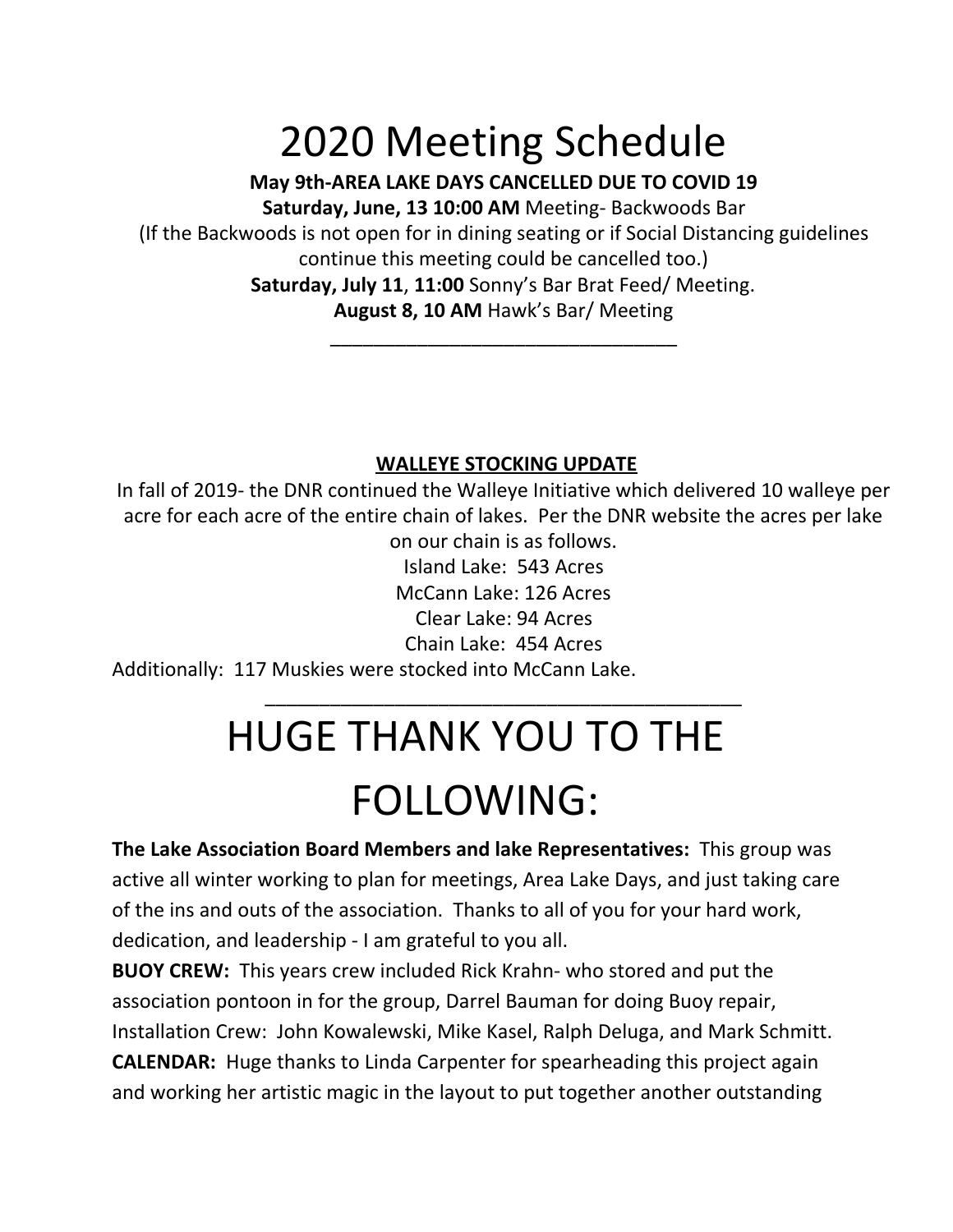# 2020 Meeting Schedule

# **May 9th-AREA LAKE DAYS CANCELLED DUE TO COVID 19 Saturday, June, 13 10:00 AM** Meeting- Backwoods Bar

(If the Backwoods is not open for in dining seating or if Social Distancing guidelines continue this meeting could be cancelled too.) **Saturday, July 11**, **11:00** Sonny's Bar Brat Feed/ Meeting. **August 8, 10 AM** Hawk's Bar/ Meeting

\_\_\_\_\_\_\_\_\_\_\_\_\_\_\_\_\_\_\_\_\_\_\_\_\_\_\_\_\_\_\_\_

# **WALLEYE STOCKING UPDATE**

In fall of 2019- the DNR continued the Walleye Initiative which delivered 10 walleye per acre for each acre of the entire chain of lakes. Per the DNR website the acres per lake on our chain is as follows. Island Lake: 543 Acres McCann Lake: 126 Acres Clear Lake: 94 Acres Chain Lake: 454 Acres Additionally: 117 Muskies were stocked into McCann Lake. \_\_\_\_\_\_\_\_\_\_\_\_\_\_\_\_\_\_\_\_\_\_\_\_\_\_\_\_\_\_\_\_\_\_\_\_\_\_\_\_\_\_\_\_

# HUGE THANK YOU TO THE FOLLOWING:

**The Lake Association Board Members and lake Representatives:** This group was active all winter working to plan for meetings, Area Lake Days, and just taking care of the ins and outs of the association. Thanks to all of you for your hard work, dedication, and leadership - I am grateful to you all.

**BUOY CREW:** This years crew included Rick Krahn- who stored and put the association pontoon in for the group, Darrel Bauman for doing Buoy repair, Installation Crew: John Kowalewski, Mike Kasel, Ralph Deluga, and Mark Schmitt. **CALENDAR:** Huge thanks to Linda Carpenter for spearheading this project again and working her artistic magic in the layout to put together another outstanding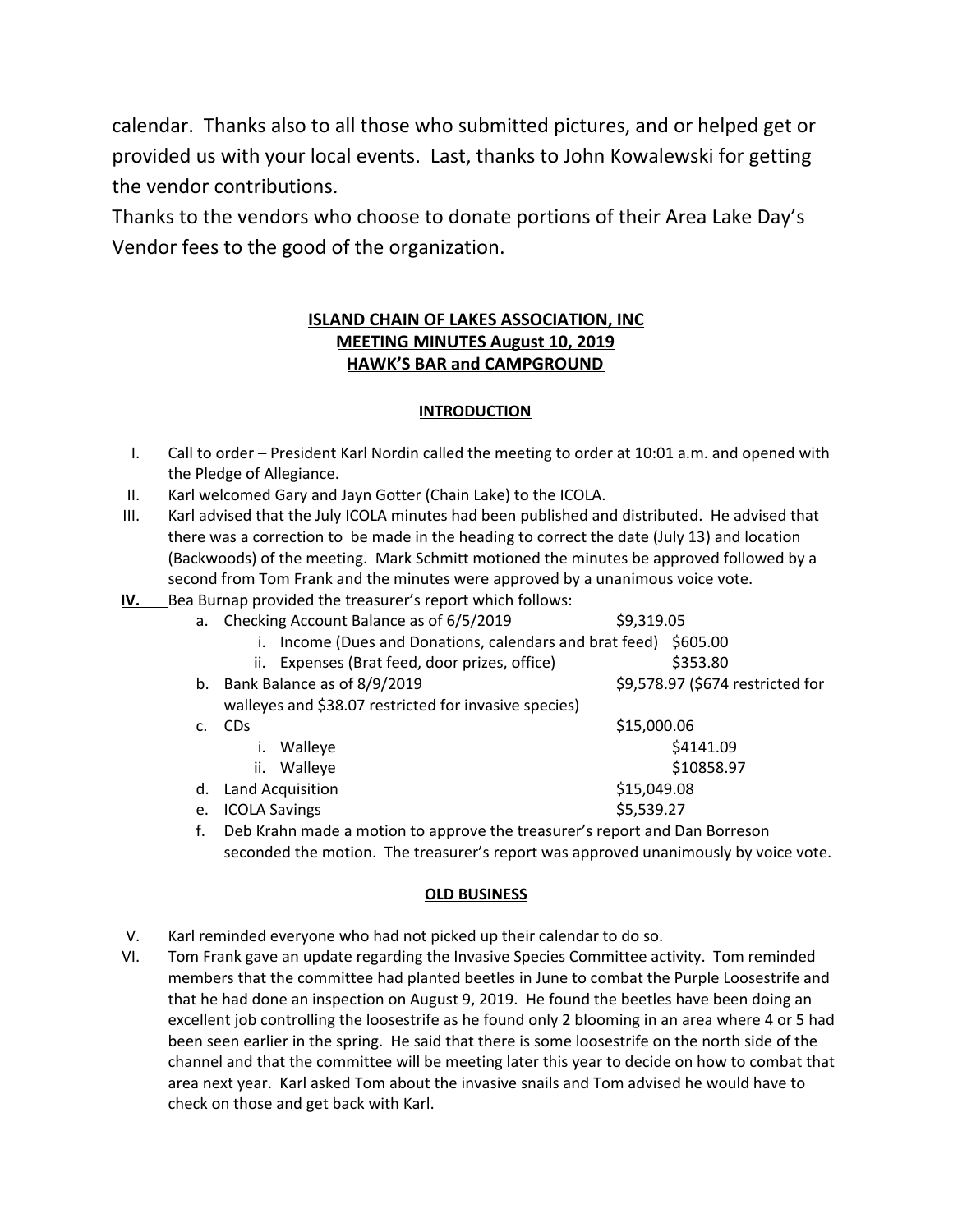calendar. Thanks also to all those who submitted pictures, and or helped get or provided us with your local events. Last, thanks to John Kowalewski for getting the vendor contributions.

Thanks to the vendors who choose to donate portions of their Area Lake Day's Vendor fees to the good of the organization.

## **ISLAND CHAIN OF LAKES ASSOCIATION, INC MEETING MINUTES August 10, 2019 HAWK'S BAR and CAMPGROUND**

## **INTRODUCTION**

- I. Call to order President Karl Nordin called the meeting to order at 10:01 a.m. and opened with the Pledge of Allegiance.
- II. Karl welcomed Gary and Jayn Gotter (Chain Lake) to the ICOLA.
- III. Karl advised that the July ICOLA minutes had been published and distributed. He advised that there was a correction to be made in the heading to correct the date (July 13) and location (Backwoods) of the meeting. Mark Schmitt motioned the minutes be approved followed by a second from Tom Frank and the minutes were approved by a unanimous voice vote.
- **IV.** Bea Burnap provided the treasurer's report which follows:

| a. | Checking Account Balance as of 6/5/2019                       | \$9,319.05                       |
|----|---------------------------------------------------------------|----------------------------------|
|    | Income (Dues and Donations, calendars and brat feed) \$605.00 |                                  |
|    | Expenses (Brat feed, door prizes, office)<br>ii.              | \$353.80                         |
| b. | Bank Balance as of 8/9/2019                                   | \$9,578.97 (\$674 restricted for |
|    | walleyes and \$38.07 restricted for invasive species)         |                                  |
|    | <b>CD<sub>S</sub></b>                                         | \$15,000.06                      |
|    | Walleye                                                       | \$4141.09                        |
|    | Walleye<br>ii.                                                | \$10858.97                       |
| d. | Land Acquisition                                              | \$15,049.08                      |
| e. | <b>ICOLA Savings</b>                                          | \$5,539.27                       |

f. Deb Krahn made a motion to approve the treasurer's report and Dan Borreson seconded the motion. The treasurer's report was approved unanimously by voice vote.

### **OLD BUSINESS**

- V. Karl reminded everyone who had not picked up their calendar to do so.
- VI. Tom Frank gave an update regarding the Invasive Species Committee activity. Tom reminded members that the committee had planted beetles in June to combat the Purple Loosestrife and that he had done an inspection on August 9, 2019. He found the beetles have been doing an excellent job controlling the loosestrife as he found only 2 blooming in an area where 4 or 5 had been seen earlier in the spring. He said that there is some loosestrife on the north side of the channel and that the committee will be meeting later this year to decide on how to combat that area next year. Karl asked Tom about the invasive snails and Tom advised he would have to check on those and get back with Karl.